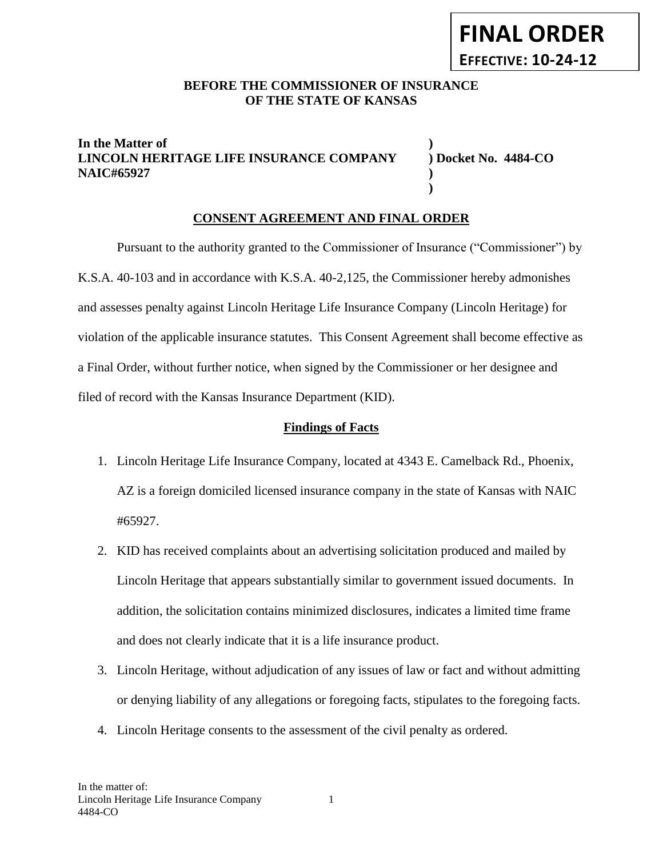## BEFORE THE COMMISSIONER OF INSURANCE **OF THE STATE OF KANSAS**

## **In the Matter of ) LINCOLN HERITAGE LIFE INSURANCE COMPANY ) Docket No. 4484-CO NAIC#65927 )**

**)**

# **CONSENT AGREEMENT AND FINAL ORDER**

Pursuant to the authority granted to the Commissioner of Insurance ("Commissioner") by K.S.A. 40-103 and in accordance with K.S.A. 40-2,125, the Commissioner hereby admonishes and assesses penalty against Lincoln Heritage Life Insurance Company (Lincoln Heritage) for violation of the applicable insurance statutes. This Consent Agreement shall become effective as a Final Order, without further notice, when signed by the Commissioner or her designee and filed of record with the Kansas Insurance Department (KID).

### **Findings of Facts**

- 1. Lincoln Heritage Life Insurance Company, located at 4343 E. Camelback Rd., Phoenix, AZ is a foreign domiciled licensed insurance company in the state of Kansas with NAIC #65927.
- 2. KID has received complaints about an advertising solicitation produced and mailed by Lincoln Heritage that appears substantially similar to government issued documents. In addition, the solicitation contains minimized disclosures, indicates a limited time frame and does not clearly indicate that it is a life insurance product.
- 3. Lincoln Heritage, without adjudication of any issues of law or fact and without admitting or denying liability of any allegations or foregoing facts, stipulates to the foregoing facts.
- 4. Lincoln Heritage consents to the assessment of the civil penalty as ordered.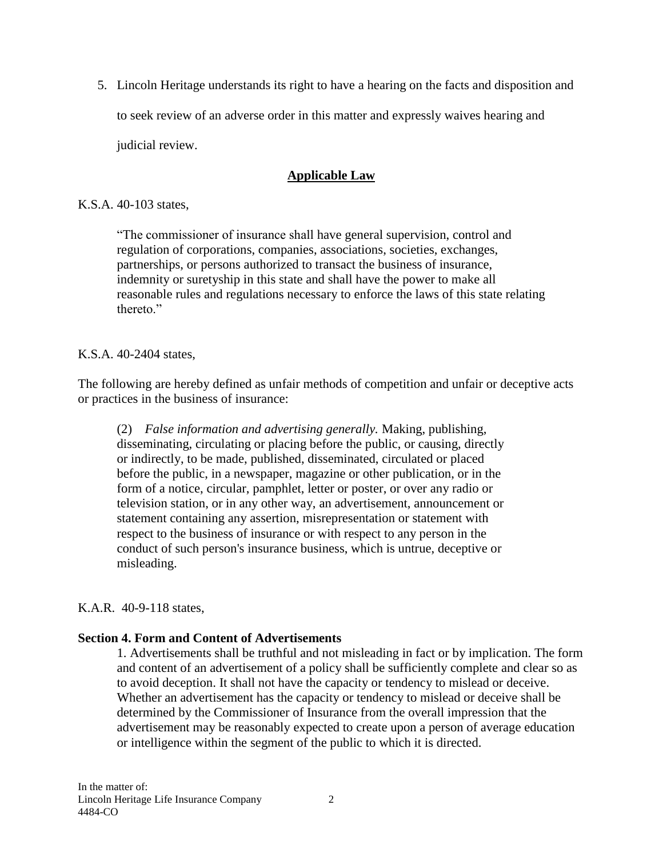5. Lincoln Heritage understands its right to have a hearing on the facts and disposition and to seek review of an adverse order in this matter and expressly waives hearing and judicial review.

# **Applicable Law**

### K.S.A. 40-103 states,

"The commissioner of insurance shall have general supervision, control and regulation of corporations, companies, associations, societies, exchanges, partnerships, or persons authorized to transact the business of insurance, indemnity or suretyship in this state and shall have the power to make all reasonable rules and regulations necessary to enforce the laws of this state relating thereto<sup>"</sup>

## K.S.A. 40-2404 states,

The following are hereby defined as unfair methods of competition and unfair or deceptive acts or practices in the business of insurance:

(2) *False information and advertising generally.* Making, publishing, disseminating, circulating or placing before the public, or causing, directly or indirectly, to be made, published, disseminated, circulated or placed before the public, in a newspaper, magazine or other publication, or in the form of a notice, circular, pamphlet, letter or poster, or over any radio or television station, or in any other way, an advertisement, announcement or statement containing any assertion, misrepresentation or statement with respect to the business of insurance or with respect to any person in the conduct of such person's insurance business, which is untrue, deceptive or misleading.

## K.A.R. 40-9-118 states,

## **Section 4. Form and Content of Advertisements**

1. Advertisements shall be truthful and not misleading in fact or by implication. The form and content of an advertisement of a policy shall be sufficiently complete and clear so as to avoid deception. It shall not have the capacity or tendency to mislead or deceive. Whether an advertisement has the capacity or tendency to mislead or deceive shall be determined by the Commissioner of Insurance from the overall impression that the advertisement may be reasonably expected to create upon a person of average education or intelligence within the segment of the public to which it is directed.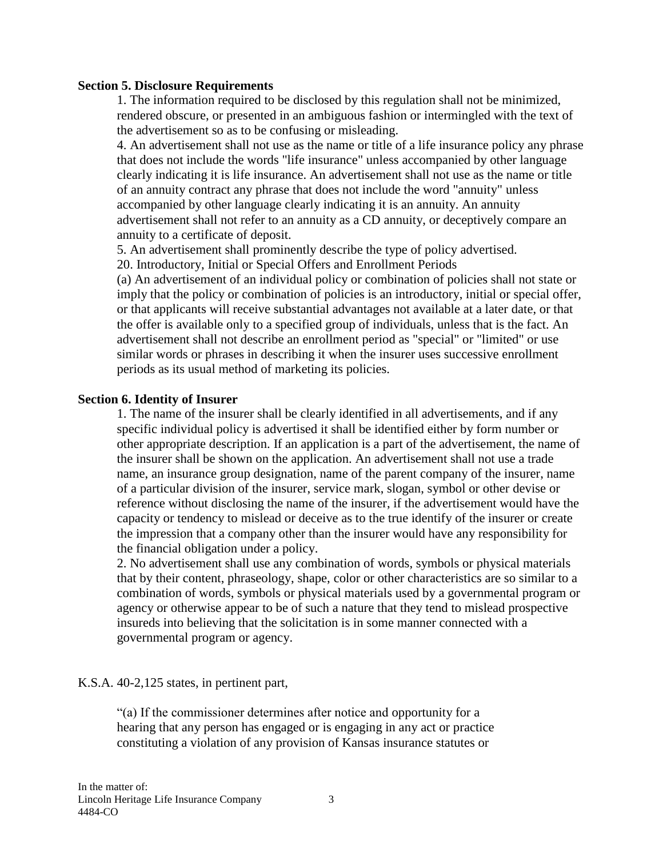#### **Section 5. Disclosure Requirements**

1. The information required to be disclosed by this regulation shall not be minimized, rendered obscure, or presented in an ambiguous fashion or intermingled with the text of the advertisement so as to be confusing or misleading.

4. An advertisement shall not use as the name or title of a life insurance policy any phrase that does not include the words "life insurance" unless accompanied by other language clearly indicating it is life insurance. An advertisement shall not use as the name or title of an annuity contract any phrase that does not include the word "annuity" unless accompanied by other language clearly indicating it is an annuity. An annuity advertisement shall not refer to an annuity as a CD annuity, or deceptively compare an annuity to a certificate of deposit.

5. An advertisement shall prominently describe the type of policy advertised. 20. Introductory, Initial or Special Offers and Enrollment Periods

(a) An advertisement of an individual policy or combination of policies shall not state or imply that the policy or combination of policies is an introductory, initial or special offer, or that applicants will receive substantial advantages not available at a later date, or that the offer is available only to a specified group of individuals, unless that is the fact. An advertisement shall not describe an enrollment period as "special" or "limited" or use similar words or phrases in describing it when the insurer uses successive enrollment periods as its usual method of marketing its policies.

### **Section 6. Identity of Insurer**

1. The name of the insurer shall be clearly identified in all advertisements, and if any specific individual policy is advertised it shall be identified either by form number or other appropriate description. If an application is a part of the advertisement, the name of the insurer shall be shown on the application. An advertisement shall not use a trade name, an insurance group designation, name of the parent company of the insurer, name of a particular division of the insurer, service mark, slogan, symbol or other devise or reference without disclosing the name of the insurer, if the advertisement would have the capacity or tendency to mislead or deceive as to the true identify of the insurer or create the impression that a company other than the insurer would have any responsibility for the financial obligation under a policy.

2. No advertisement shall use any combination of words, symbols or physical materials that by their content, phraseology, shape, color or other characteristics are so similar to a combination of words, symbols or physical materials used by a governmental program or agency or otherwise appear to be of such a nature that they tend to mislead prospective insureds into believing that the solicitation is in some manner connected with a governmental program or agency.

### K.S.A. 40-2,125 states, in pertinent part,

"(a) If the commissioner determines after notice and opportunity for a hearing that any person has engaged or is engaging in any act or practice constituting a violation of any provision of Kansas insurance statutes or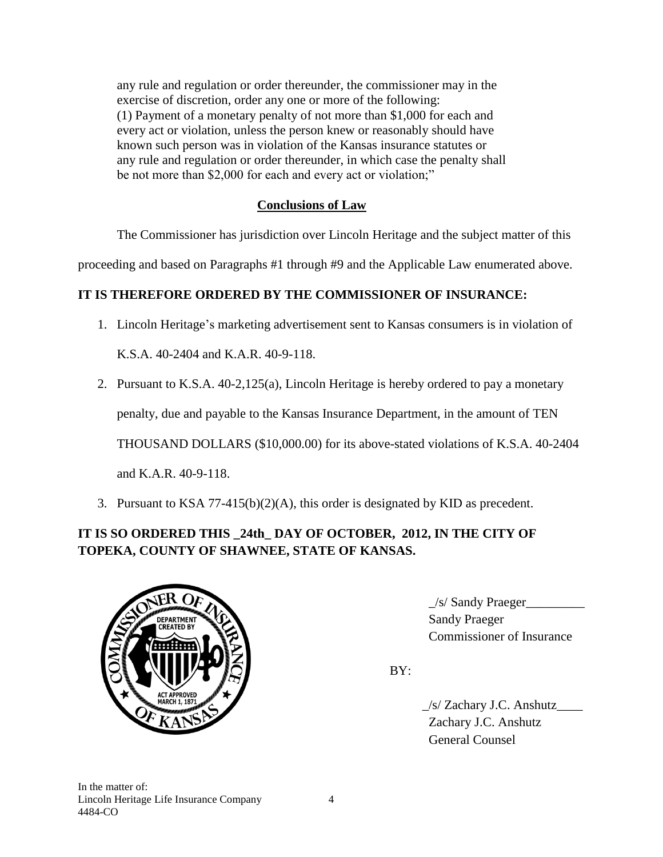any rule and regulation or order thereunder, the commissioner may in the exercise of discretion, order any one or more of the following: (1) Payment of a monetary penalty of not more than \$1,000 for each and every act or violation, unless the person knew or reasonably should have known such person was in violation of the Kansas insurance statutes or any rule and regulation or order thereunder, in which case the penalty shall be not more than \$2,000 for each and every act or violation;"

# **Conclusions of Law**

The Commissioner has jurisdiction over Lincoln Heritage and the subject matter of this

proceeding and based on Paragraphs #1 through #9 and the Applicable Law enumerated above.

# **IT IS THEREFORE ORDERED BY THE COMMISSIONER OF INSURANCE:**

1. Lincoln Heritage's marketing advertisement sent to Kansas consumers is in violation of

K.S.A. 40-2404 and K.A.R. 40-9-118.

2. Pursuant to K.S.A. 40-2,125(a), Lincoln Heritage is hereby ordered to pay a monetary

penalty, due and payable to the Kansas Insurance Department, in the amount of TEN

THOUSAND DOLLARS (\$10,000.00) for its above-stated violations of K.S.A. 40-2404

and K.A.R. 40-9-118.

3. Pursuant to KSA 77-415(b)(2)(A), this order is designated by KID as precedent.

# **IT IS SO ORDERED THIS \_24th\_ DAY OF OCTOBER, 2012, IN THE CITY OF TOPEKA, COUNTY OF SHAWNEE, STATE OF KANSAS.**



 $1/s/$  Sandy Praeger 3. Commissioner of Insurance

BY:

 \_/s/ Zachary J.C. Anshutz\_\_\_\_ Zachary J.C. Anshutz General Counsel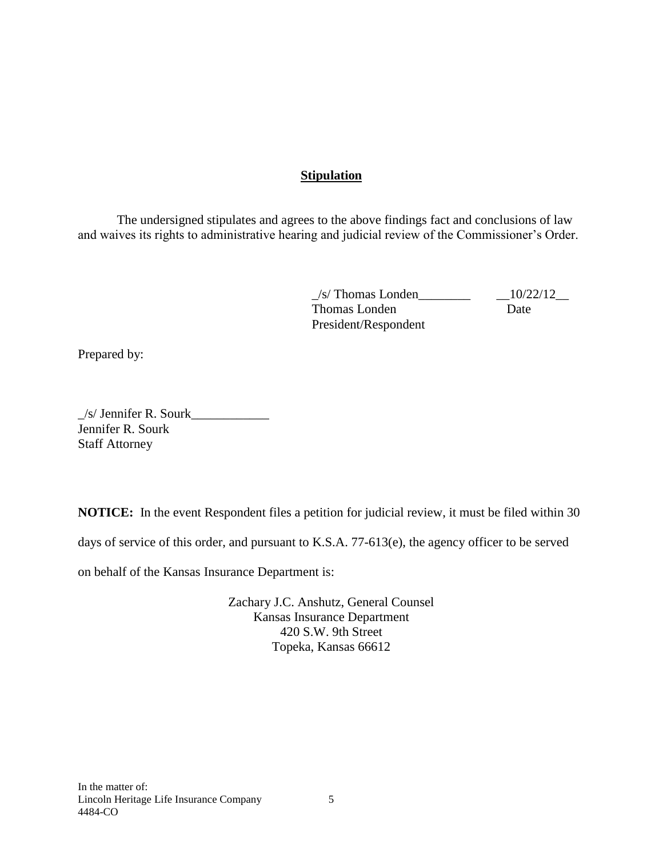## **Stipulation**

The undersigned stipulates and agrees to the above findings fact and conclusions of law and waives its rights to administrative hearing and judicial review of the Commissioner's Order.

> \_/s/ Thomas Londen\_\_\_\_\_\_\_\_ \_\_10/22/12\_\_ Thomas Londen Date President/Respondent

Prepared by:

 $\angle$ s/ Jennifer R. Sourk $\angle$ Jennifer R. Sourk Staff Attorney

**NOTICE:** In the event Respondent files a petition for judicial review, it must be filed within 30 days of service of this order, and pursuant to K.S.A. 77-613(e), the agency officer to be served

on behalf of the Kansas Insurance Department is:

Zachary J.C. Anshutz, General Counsel Kansas Insurance Department 420 S.W. 9th Street Topeka, Kansas 66612